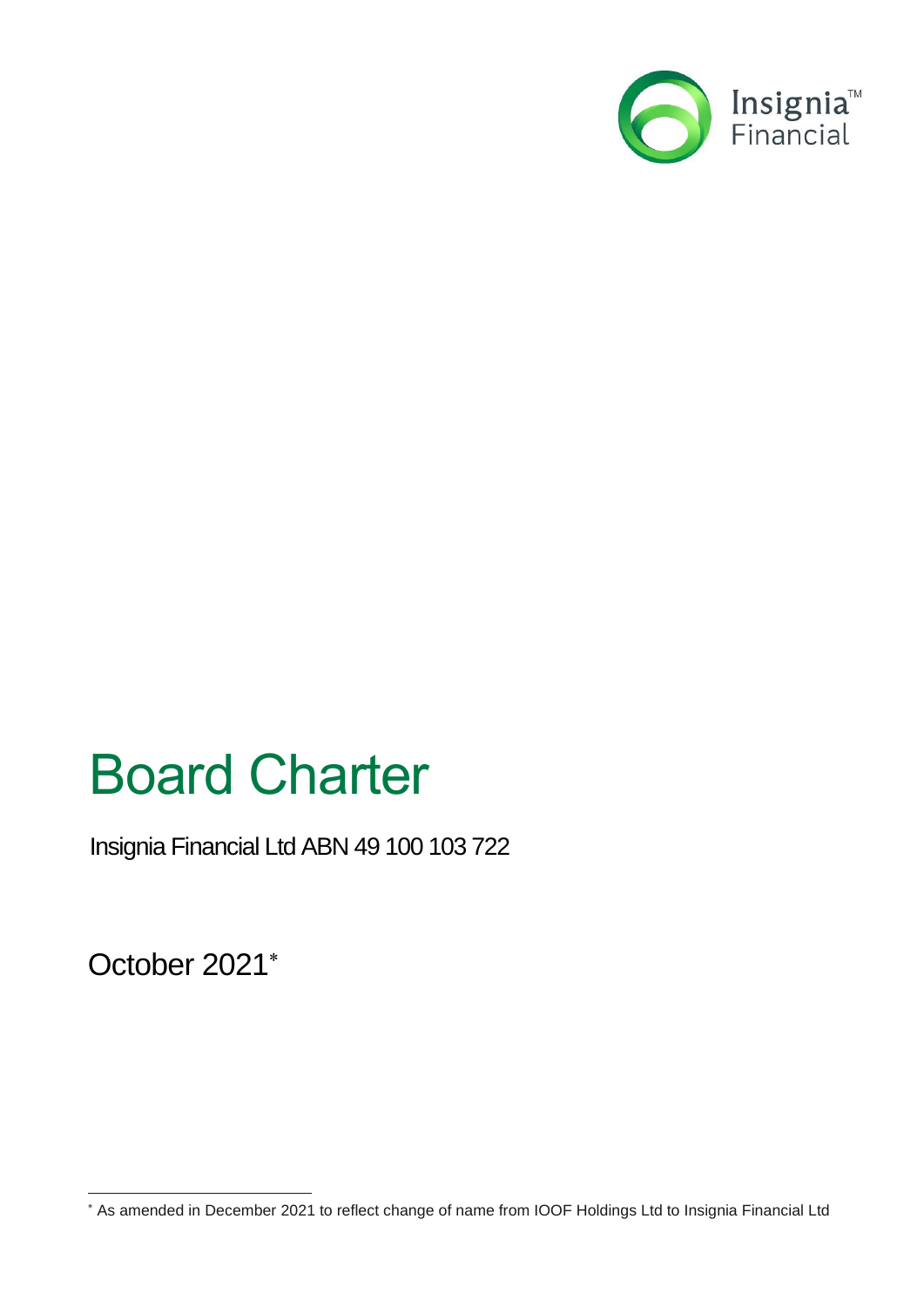

# Board Charter

Insignia Financial Ltd ABN 49 100 103 722

October 2021

As amended in December 2021 to reflect change of name from IOOF Holdings Ltd to Insignia Financial Ltd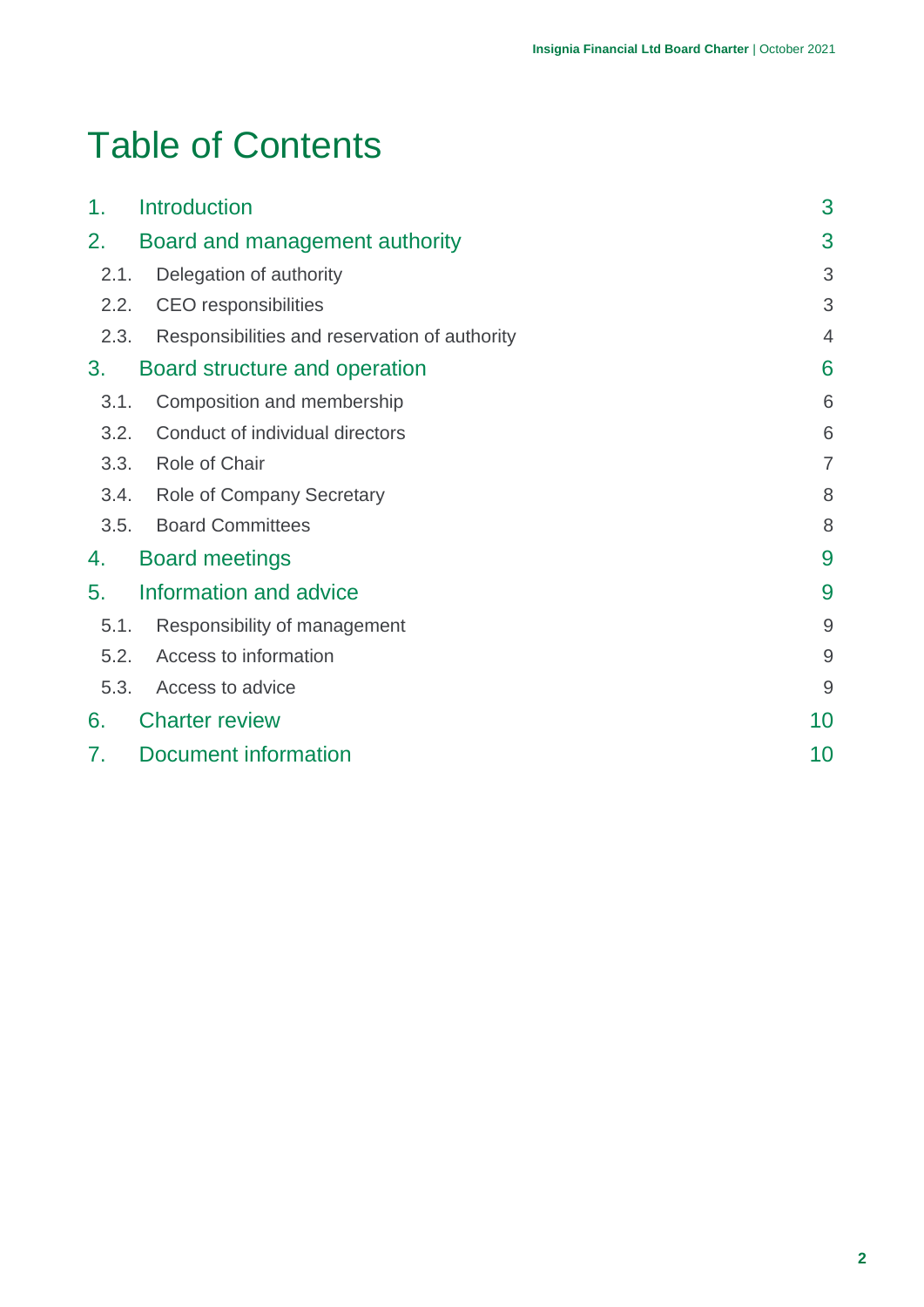## Table of Contents

| 1.   | <b>Introduction</b>                           | 3              |
|------|-----------------------------------------------|----------------|
| 2.   | Board and management authority                | 3              |
| 2.1. | Delegation of authority                       | 3              |
| 2.2. | <b>CEO</b> responsibilities                   | 3              |
| 2.3. | Responsibilities and reservation of authority | 4              |
| 3.   | Board structure and operation                 | 6              |
| 3.1. | Composition and membership                    | 6              |
| 3.2. | Conduct of individual directors               | 6              |
| 3.3. | Role of Chair                                 | $\overline{7}$ |
|      | 3.4. Role of Company Secretary                | 8              |
| 3.5. | <b>Board Committees</b>                       | 8              |
| 4.   | <b>Board meetings</b>                         | 9              |
| 5.   | Information and advice                        | 9              |
| 5.1. | Responsibility of management                  | $\overline{9}$ |
| 5.2. | Access to information                         | $\overline{9}$ |
| 5.3. | Access to advice                              | $\overline{9}$ |
| 6.   | <b>Charter review</b>                         | 10             |
| 7.   | Document information                          | 10             |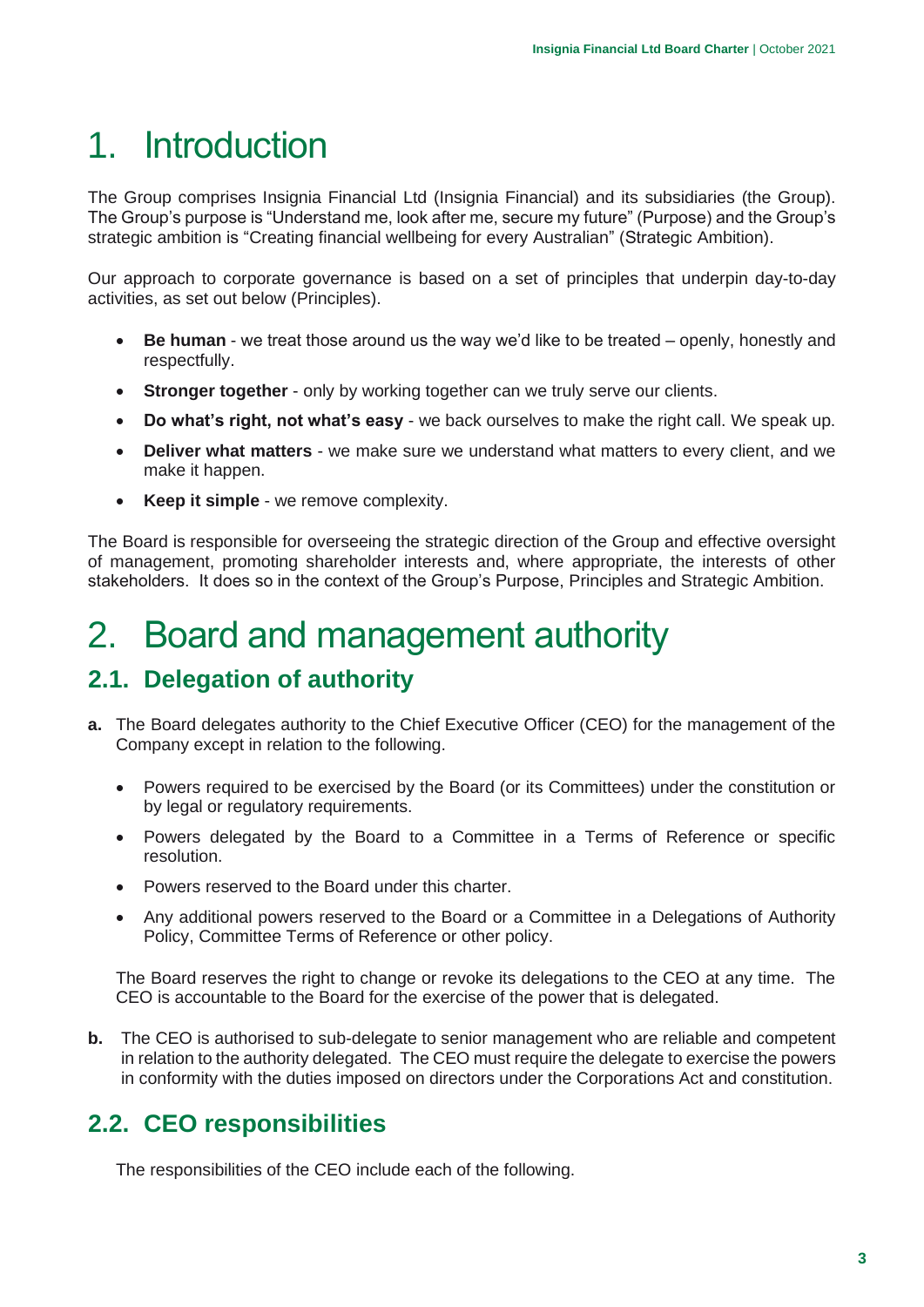## <span id="page-2-0"></span>1. Introduction

The Group comprises Insignia Financial Ltd (Insignia Financial) and its subsidiaries (the Group). The Group's purpose is "Understand me, look after me, secure my future" (Purpose) and the Group's strategic ambition is "Creating financial wellbeing for every Australian" (Strategic Ambition).

Our approach to corporate governance is based on a set of principles that underpin day-to-day activities, as set out below (Principles).

- **Be human** we treat those around us the way we'd like to be treated openly, honestly and respectfully.
- **Stronger together** only by working together can we truly serve our clients.
- **Do what's right, not what's easy** we back ourselves to make the right call. We speak up.
- **Deliver what matters** we make sure we understand what matters to every client, and we make it happen.
- **Keep it simple**  we remove complexity.

The Board is responsible for overseeing the strategic direction of the Group and effective oversight of management, promoting shareholder interests and, where appropriate, the interests of other stakeholders. It does so in the context of the Group's Purpose, Principles and Strategic Ambition.

## <span id="page-2-1"></span>2. Board and management authority

## <span id="page-2-2"></span>**2.1. Delegation of authority**

- **a.** The Board delegates authority to the Chief Executive Officer (CEO) for the management of the Company except in relation to the following.
	- Powers required to be exercised by the Board (or its Committees) under the constitution or by legal or regulatory requirements.
	- Powers delegated by the Board to a Committee in a Terms of Reference or specific resolution.
	- Powers reserved to the Board under this charter.
	- Any additional powers reserved to the Board or a Committee in a Delegations of Authority Policy, Committee Terms of Reference or other policy.

The Board reserves the right to change or revoke its delegations to the CEO at any time. The CEO is accountable to the Board for the exercise of the power that is delegated.

**b.** The CEO is authorised to sub-delegate to senior management who are reliable and competent in relation to the authority delegated. The CEO must require the delegate to exercise the powers in conformity with the duties imposed on directors under the Corporations Act and constitution.

## <span id="page-2-3"></span>**2.2. CEO responsibilities**

The responsibilities of the CEO include each of the following.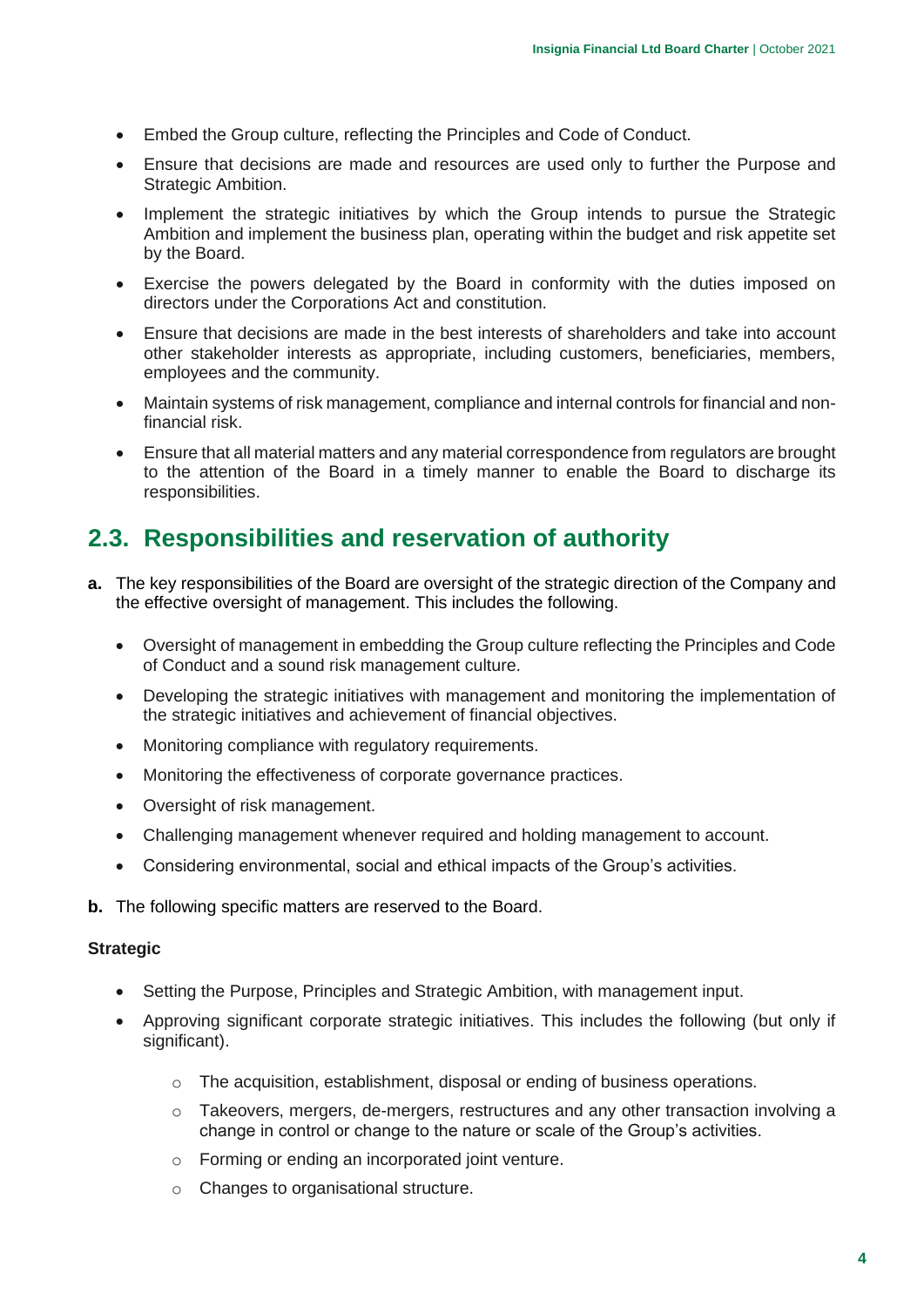- Embed the Group culture, reflecting the Principles and Code of Conduct.
- Ensure that decisions are made and resources are used only to further the Purpose and Strategic Ambition.
- Implement the strategic initiatives by which the Group intends to pursue the Strategic Ambition and implement the business plan, operating within the budget and risk appetite set by the Board.
- Exercise the powers delegated by the Board in conformity with the duties imposed on directors under the Corporations Act and constitution.
- Ensure that decisions are made in the best interests of shareholders and take into account other stakeholder interests as appropriate, including customers, beneficiaries, members, employees and the community.
- Maintain systems of risk management, compliance and internal controls for financial and nonfinancial risk.
- Ensure that all material matters and any material correspondence from regulators are brought to the attention of the Board in a timely manner to enable the Board to discharge its responsibilities.

## <span id="page-3-0"></span>**2.3. Responsibilities and reservation of authority**

- **a.** The key responsibilities of the Board are oversight of the strategic direction of the Company and the effective oversight of management. This includes the following.
	- Oversight of management in embedding the Group culture reflecting the Principles and Code of Conduct and a sound risk management culture.
	- Developing the strategic initiatives with management and monitoring the implementation of the strategic initiatives and achievement of financial objectives.
	- Monitoring compliance with regulatory requirements.
	- Monitoring the effectiveness of corporate governance practices.
	- Oversight of risk management.
	- Challenging management whenever required and holding management to account.
	- Considering environmental, social and ethical impacts of the Group's activities.
- **b.** The following specific matters are reserved to the Board.

#### **Strategic**

- Setting the Purpose, Principles and Strategic Ambition, with management input.
- Approving significant corporate strategic initiatives. This includes the following (but only if significant).
	- $\circ$  The acquisition, establishment, disposal or ending of business operations.
	- o Takeovers, mergers, de-mergers, restructures and any other transaction involving a change in control or change to the nature or scale of the Group's activities.
	- o Forming or ending an incorporated joint venture.
	- o Changes to organisational structure.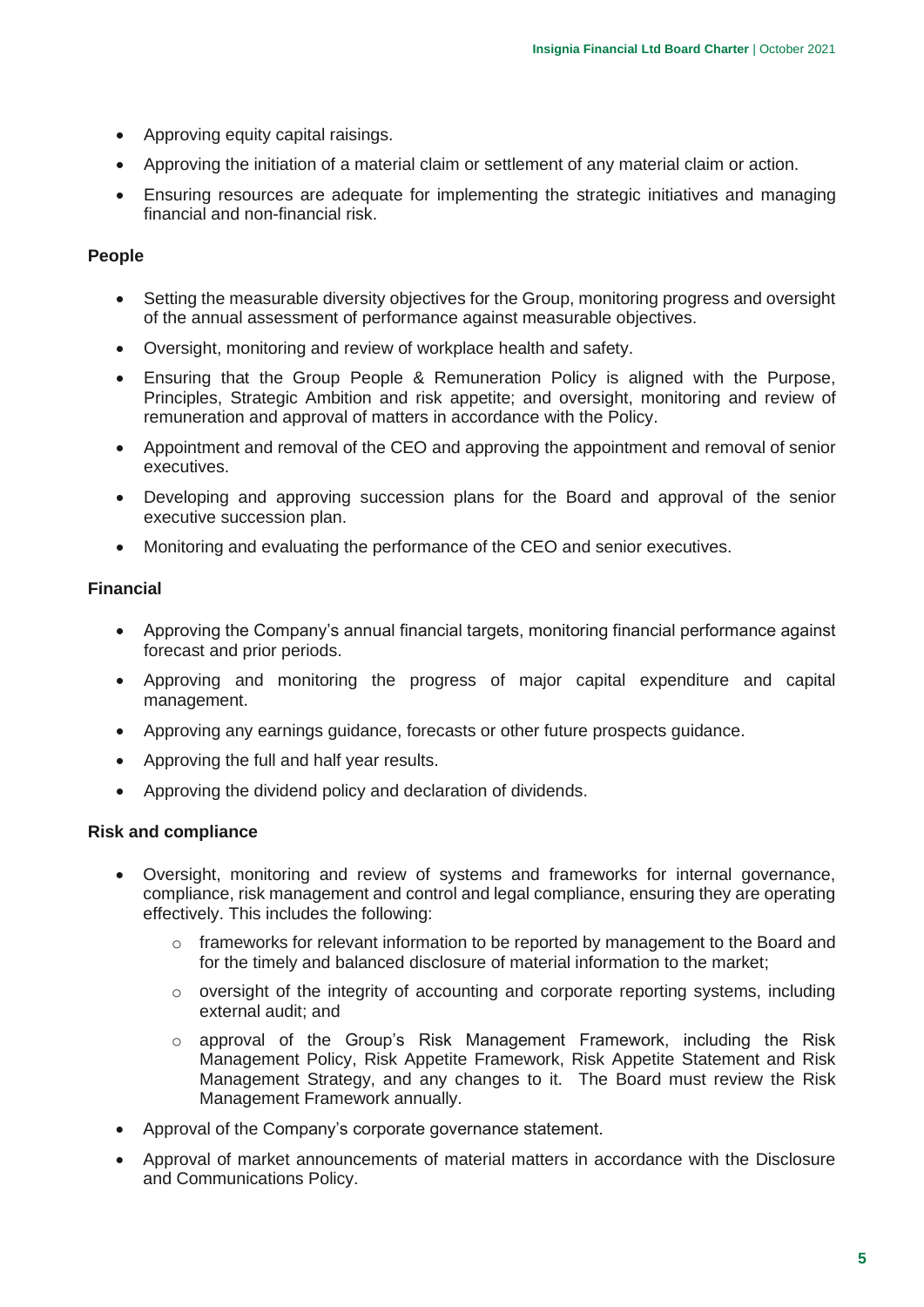- Approving equity capital raisings.
- Approving the initiation of a material claim or settlement of any material claim or action.
- Ensuring resources are adequate for implementing the strategic initiatives and managing financial and non-financial risk.

#### **People**

- Setting the measurable diversity objectives for the Group, monitoring progress and oversight of the annual assessment of performance against measurable objectives.
- Oversight, monitoring and review of workplace health and safety.
- Ensuring that the Group People & Remuneration Policy is aligned with the Purpose, Principles, Strategic Ambition and risk appetite; and oversight, monitoring and review of remuneration and approval of matters in accordance with the Policy.
- Appointment and removal of the CEO and approving the appointment and removal of senior executives.
- Developing and approving succession plans for the Board and approval of the senior executive succession plan.
- Monitoring and evaluating the performance of the CEO and senior executives.

#### **Financial**

- Approving the Company's annual financial targets, monitoring financial performance against forecast and prior periods.
- Approving and monitoring the progress of major capital expenditure and capital management.
- Approving any earnings guidance, forecasts or other future prospects guidance.
- Approving the full and half year results.
- Approving the dividend policy and declaration of dividends.

#### **Risk and compliance**

- Oversight, monitoring and review of systems and frameworks for internal governance, compliance, risk management and control and legal compliance, ensuring they are operating effectively. This includes the following:
	- $\circ$  frameworks for relevant information to be reported by management to the Board and for the timely and balanced disclosure of material information to the market;
	- o oversight of the integrity of accounting and corporate reporting systems, including external audit; and
	- $\circ$  approval of the Group's Risk Management Framework, including the Risk Management Policy, Risk Appetite Framework, Risk Appetite Statement and Risk Management Strategy, and any changes to it. The Board must review the Risk Management Framework annually.
- Approval of the Company's corporate governance statement.
- Approval of market announcements of material matters in accordance with the Disclosure and Communications Policy.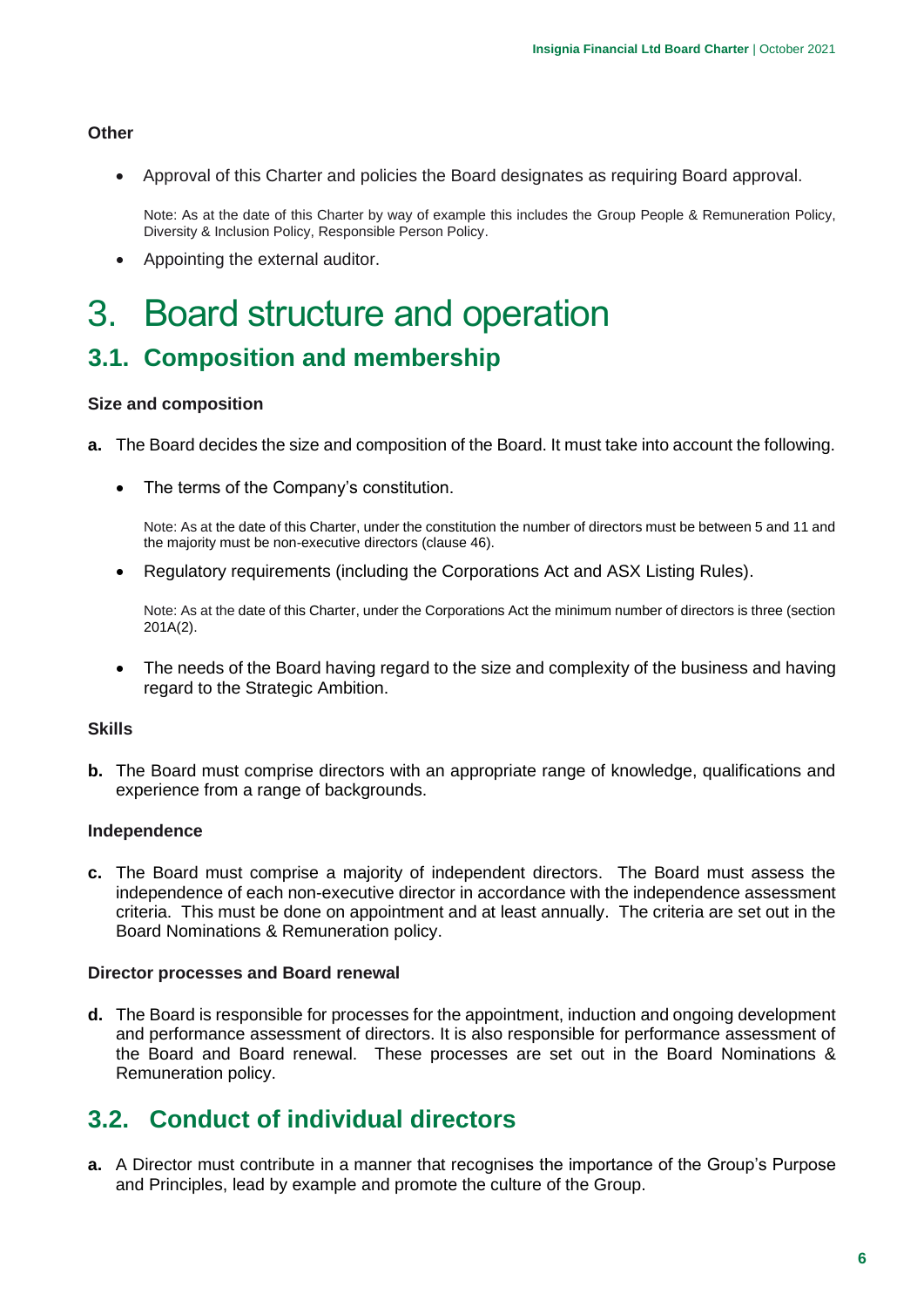#### **Other**

• Approval of this Charter and policies the Board designates as requiring Board approval.

Note: As at the date of this Charter by way of example this includes the Group People & Remuneration Policy, Diversity & Inclusion Policy, Responsible Person Policy.

• Appointing the external auditor.

## <span id="page-5-0"></span>3. Board structure and operation

### <span id="page-5-1"></span>**3.1. Composition and membership**

#### **Size and composition**

- **a.** The Board decides the size and composition of the Board. It must take into account the following.
	- The terms of the Company's constitution.

Note: As at the date of this Charter, under the constitution the number of directors must be between 5 and 11 and the majority must be non-executive directors (clause 46).

• Regulatory requirements (including the Corporations Act and ASX Listing Rules).

Note: As at the date of this Charter, under the Corporations Act the minimum number of directors is three (section 201A(2).

• The needs of the Board having regard to the size and complexity of the business and having regard to the Strategic Ambition.

#### **Skills**

**b.** The Board must comprise directors with an appropriate range of knowledge, qualifications and experience from a range of backgrounds.

#### **Independence**

**c.** The Board must comprise a majority of independent directors. The Board must assess the independence of each non-executive director in accordance with the independence assessment criteria. This must be done on appointment and at least annually. The criteria are set out in the Board Nominations & Remuneration policy.

#### **Director processes and Board renewal**

**d.** The Board is responsible for processes for the appointment, induction and ongoing development and performance assessment of directors. It is also responsible for performance assessment of the Board and Board renewal. These processes are set out in the Board Nominations & Remuneration policy.

### <span id="page-5-2"></span>**3.2. Conduct of individual directors**

**a.** A Director must contribute in a manner that recognises the importance of the Group's Purpose and Principles, lead by example and promote the culture of the Group.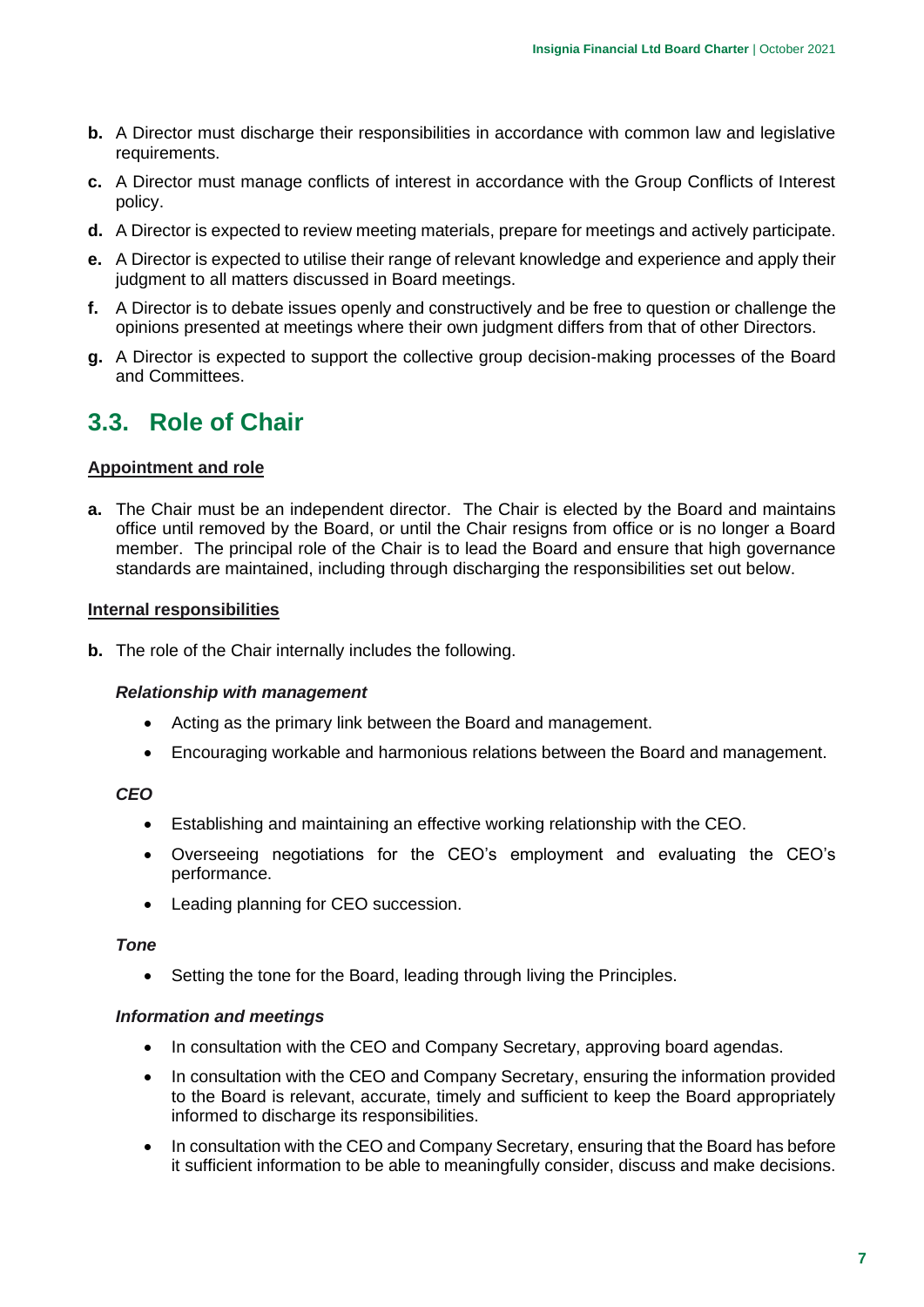- **b.** A Director must discharge their responsibilities in accordance with common law and legislative requirements.
- **c.** A Director must manage conflicts of interest in accordance with the Group Conflicts of Interest policy.
- **d.** A Director is expected to review meeting materials, prepare for meetings and actively participate.
- **e.** A Director is expected to utilise their range of relevant knowledge and experience and apply their judgment to all matters discussed in Board meetings.
- **f.** A Director is to debate issues openly and constructively and be free to question or challenge the opinions presented at meetings where their own judgment differs from that of other Directors.
- **g.** A Director is expected to support the collective group decision-making processes of the Board and Committees.

### <span id="page-6-0"></span>**3.3. Role of Chair**

#### **Appointment and role**

**a.** The Chair must be an independent director. The Chair is elected by the Board and maintains office until removed by the Board, or until the Chair resigns from office or is no longer a Board member. The principal role of the Chair is to lead the Board and ensure that high governance standards are maintained, including through discharging the responsibilities set out below.

#### **Internal responsibilities**

**b.** The role of the Chair internally includes the following.

#### *Relationship with management*

- Acting as the primary link between the Board and management.
- Encouraging workable and harmonious relations between the Board and management.

#### *CEO*

- Establishing and maintaining an effective working relationship with the CEO.
- Overseeing negotiations for the CEO's employment and evaluating the CEO's performance.
- Leading planning for CEO succession.

#### *Tone*

• Setting the tone for the Board, leading through living the Principles.

#### *Information and meetings*

- In consultation with the CEO and Company Secretary, approving board agendas.
- In consultation with the CEO and Company Secretary, ensuring the information provided to the Board is relevant, accurate, timely and sufficient to keep the Board appropriately informed to discharge its responsibilities.
- In consultation with the CEO and Company Secretary, ensuring that the Board has before it sufficient information to be able to meaningfully consider, discuss and make decisions.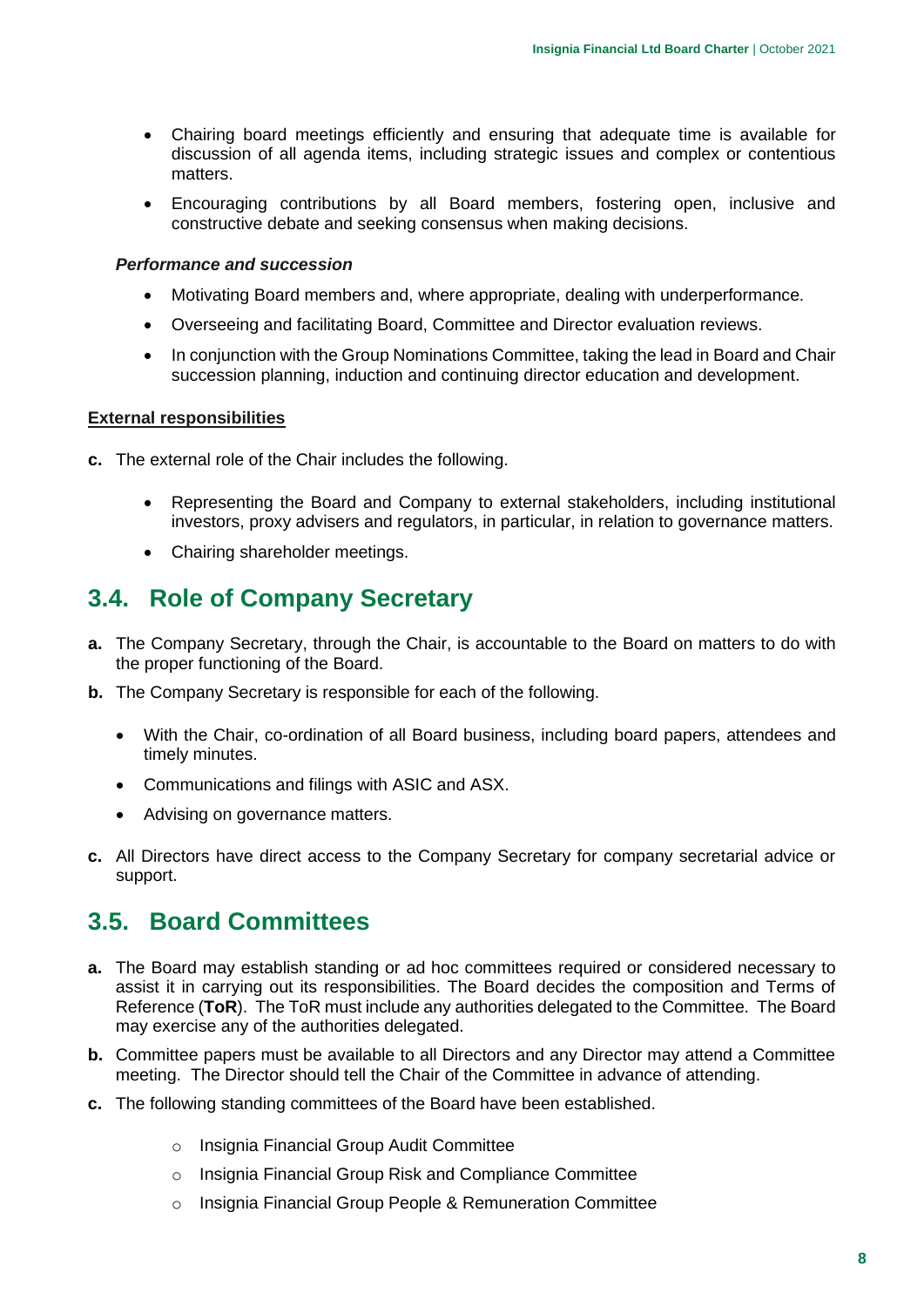- Chairing board meetings efficiently and ensuring that adequate time is available for discussion of all agenda items, including strategic issues and complex or contentious matters.
- Encouraging contributions by all Board members, fostering open, inclusive and constructive debate and seeking consensus when making decisions.

#### *Performance and succession*

- Motivating Board members and, where appropriate, dealing with underperformance.
- Overseeing and facilitating Board, Committee and Director evaluation reviews.
- In conjunction with the Group Nominations Committee, taking the lead in Board and Chair succession planning, induction and continuing director education and development.

#### **External responsibilities**

- **c.** The external role of the Chair includes the following.
	- Representing the Board and Company to external stakeholders, including institutional investors, proxy advisers and regulators, in particular, in relation to governance matters.
	- Chairing shareholder meetings.

### <span id="page-7-0"></span>**3.4. Role of Company Secretary**

- **a.** The Company Secretary, through the Chair, is accountable to the Board on matters to do with the proper functioning of the Board.
- **b.** The Company Secretary is responsible for each of the following.
	- With the Chair, co-ordination of all Board business, including board papers, attendees and timely minutes.
	- Communications and filings with ASIC and ASX.
	- Advising on governance matters.
- **c.** All Directors have direct access to the Company Secretary for company secretarial advice or support.

### <span id="page-7-1"></span>**3.5. Board Committees**

- **a.** The Board may establish standing or ad hoc committees required or considered necessary to assist it in carrying out its responsibilities. The Board decides the composition and Terms of Reference (**ToR**). The ToR must include any authorities delegated to the Committee. The Board may exercise any of the authorities delegated.
- **b.** Committee papers must be available to all Directors and any Director may attend a Committee meeting. The Director should tell the Chair of the Committee in advance of attending.
- **c.** The following standing committees of the Board have been established.
	- o Insignia Financial Group Audit Committee
	- o Insignia Financial Group Risk and Compliance Committee
	- o Insignia Financial Group People & Remuneration Committee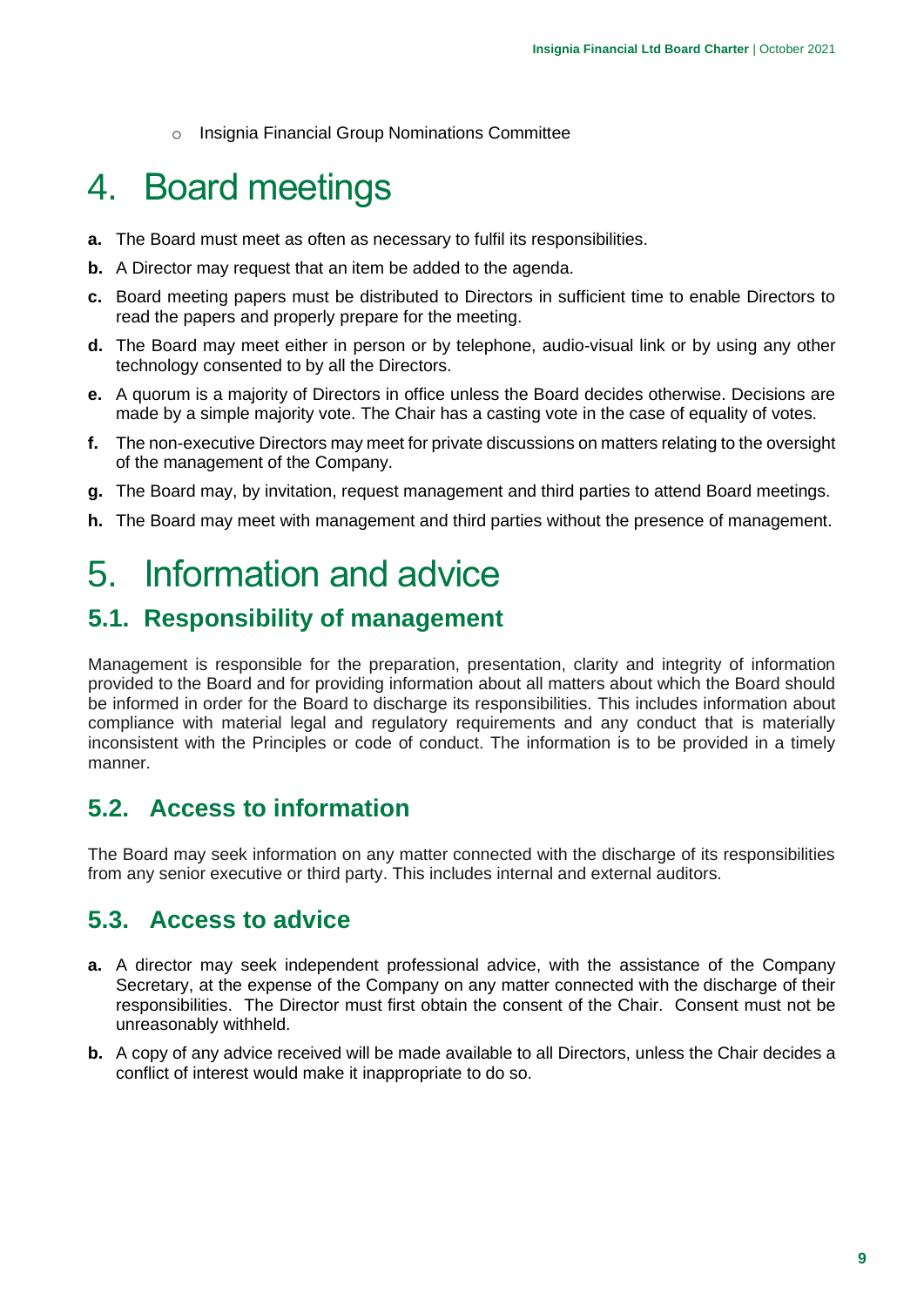o Insignia Financial Group Nominations Committee

## <span id="page-8-0"></span>4. Board meetings

- **a.** The Board must meet as often as necessary to fulfil its responsibilities.
- **b.** A Director may request that an item be added to the agenda.
- **c.** Board meeting papers must be distributed to Directors in sufficient time to enable Directors to read the papers and properly prepare for the meeting.
- **d.** The Board may meet either in person or by telephone, audio-visual link or by using any other technology consented to by all the Directors.
- **e.** A quorum is a majority of Directors in office unless the Board decides otherwise. Decisions are made by a simple majority vote. The Chair has a casting vote in the case of equality of votes.
- **f.** The non-executive Directors may meet for private discussions on matters relating to the oversight of the management of the Company.
- **g.** The Board may, by invitation, request management and third parties to attend Board meetings.
- **h.** The Board may meet with management and third parties without the presence of management.

## <span id="page-8-1"></span>5. Information and advice

## <span id="page-8-2"></span>**5.1. Responsibility of management**

Management is responsible for the preparation, presentation, clarity and integrity of information provided to the Board and for providing information about all matters about which the Board should be informed in order for the Board to discharge its responsibilities. This includes information about compliance with material legal and regulatory requirements and any conduct that is materially inconsistent with the Principles or code of conduct. The information is to be provided in a timely manner.

### <span id="page-8-3"></span>**5.2. Access to information**

The Board may seek information on any matter connected with the discharge of its responsibilities from any senior executive or third party. This includes internal and external auditors.

## <span id="page-8-4"></span>**5.3. Access to advice**

- **a.** A director may seek independent professional advice, with the assistance of the Company Secretary, at the expense of the Company on any matter connected with the discharge of their responsibilities. The Director must first obtain the consent of the Chair. Consent must not be unreasonably withheld.
- **b.** A copy of any advice received will be made available to all Directors, unless the Chair decides a conflict of interest would make it inappropriate to do so.